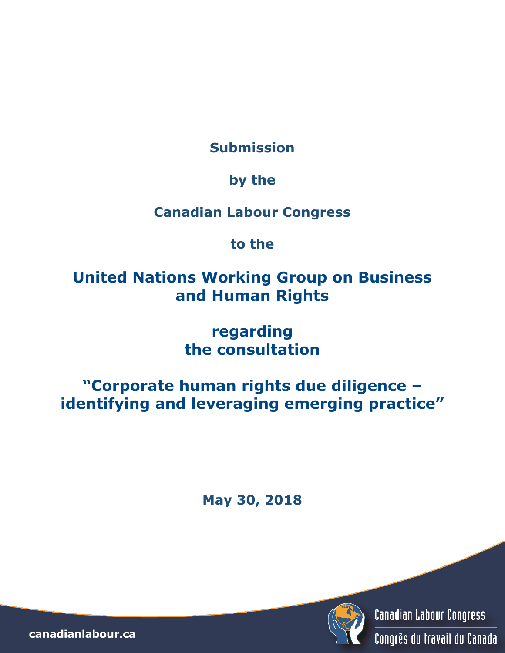**Submission**

### **by the**

### **Canadian Labour Congress**

## **to the**

# **United Nations Working Group on Business and Human Rights**

## **regarding the consultation**

# **"Corporate human rights due diligence – identifying and leveraging emerging practice"**

**May 30, 2018**



canadianlabour.ca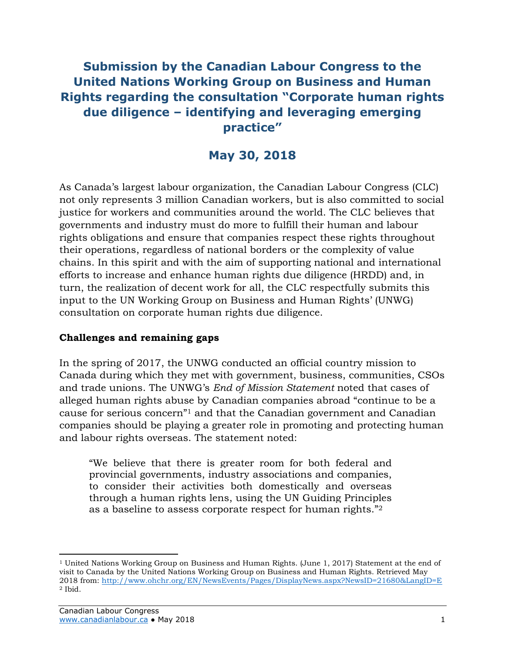### **Submission by the Canadian Labour Congress to the United Nations Working Group on Business and Human Rights regarding the consultation "Corporate human rights due diligence – identifying and leveraging emerging practice"**

### **May 30, 2018**

As Canada's largest labour organization, the Canadian Labour Congress (CLC) not only represents 3 million Canadian workers, but is also committed to social justice for workers and communities around the world. The CLC believes that governments and industry must do more to fulfill their human and labour rights obligations and ensure that companies respect these rights throughout their operations, regardless of national borders or the complexity of value chains. In this spirit and with the aim of supporting national and international efforts to increase and enhance human rights due diligence (HRDD) and, in turn, the realization of decent work for all, the CLC respectfully submits this input to the UN Working Group on Business and Human Rights' (UNWG) consultation on corporate human rights due diligence.

#### **Challenges and remaining gaps**

In the spring of 2017, the UNWG conducted an official country mission to Canada during which they met with government, business, communities, CSOs and trade unions. The UNWG's *End of Mission Statement* noted that cases of alleged human rights abuse by Canadian companies abroad "continue to be a cause for serious concern"<sup>1</sup> and that the Canadian government and Canadian companies should be playing a greater role in promoting and protecting human and labour rights overseas. The statement noted:

"We believe that there is greater room for both federal and provincial governments, industry associations and companies, to consider their activities both domestically and overseas through a human rights lens, using the UN Guiding Principles as a baseline to assess corporate respect for human rights."<sup>2</sup>

<sup>1</sup> United Nations Working Group on Business and Human Rights. (June 1, 2017) Statement at the end of visit to Canada by the United Nations Working Group on Business and Human Rights. Retrieved May 2018 from:<http://www.ohchr.org/EN/NewsEvents/Pages/DisplayNews.aspx?NewsID=21680&LangID=E> <sup>2</sup> Ibid.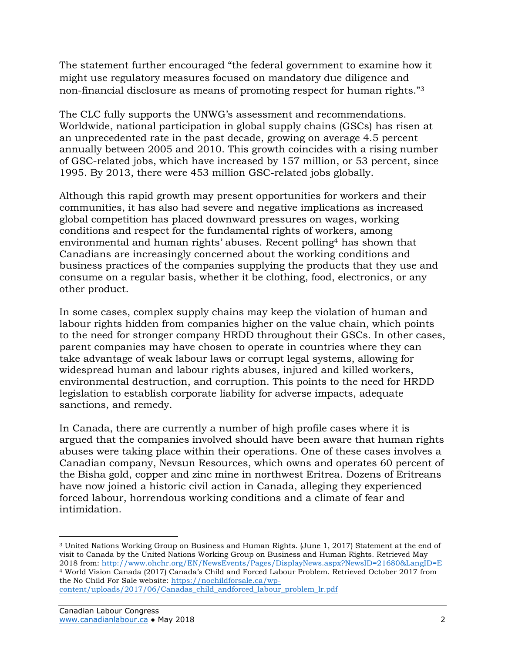The statement further encouraged "the federal government to examine how it might use regulatory measures focused on mandatory due diligence and non-financial disclosure as means of promoting respect for human rights."<sup>3</sup>

The CLC fully supports the UNWG's assessment and recommendations. Worldwide, national participation in global supply chains (GSCs) has risen at an unprecedented rate in the past decade, growing on average 4.5 percent annually between 2005 and 2010. This growth coincides with a rising number of GSC-related jobs, which have increased by 157 million, or 53 percent, since 1995. By 2013, there were 453 million GSC-related jobs globally.

Although this rapid growth may present opportunities for workers and their communities, it has also had severe and negative implications as increased global competition has placed downward pressures on wages, working conditions and respect for the fundamental rights of workers, among environmental and human rights' abuses. Recent polling<sup>4</sup> has shown that Canadians are increasingly concerned about the working conditions and business practices of the companies supplying the products that they use and consume on a regular basis, whether it be clothing, food, electronics, or any other product.

In some cases, complex supply chains may keep the violation of human and labour rights hidden from companies higher on the value chain, which points to the need for stronger company HRDD throughout their GSCs. In other cases, parent companies may have chosen to operate in countries where they can take advantage of weak labour laws or corrupt legal systems, allowing for widespread human and labour rights abuses, injured and killed workers, environmental destruction, and corruption. This points to the need for HRDD legislation to establish corporate liability for adverse impacts, adequate sanctions, and remedy.

In Canada, there are currently a number of high profile cases where it is argued that the companies involved should have been aware that human rights abuses were taking place within their operations. One of these cases involves a Canadian company, Nevsun Resources, which owns and operates 60 percent of the Bisha gold, copper and zinc mine in northwest Eritrea. Dozens of Eritreans have now joined a historic civil action in Canada, alleging they experienced forced labour, horrendous working conditions and a climate of fear and intimidation.

<sup>3</sup> United Nations Working Group on Business and Human Rights. (June 1, 2017) Statement at the end of visit to Canada by the United Nations Working Group on Business and Human Rights. Retrieved May 2018 from:<http://www.ohchr.org/EN/NewsEvents/Pages/DisplayNews.aspx?NewsID=21680&LangID=E> <sup>4</sup> World Vision Canada (2017) Canada's Child and Forced Labour Problem. Retrieved October 2017 from the No Child For Sale website: [https://nochildforsale.ca/wp](https://nochildforsale.ca/wp-content/uploads/2017/06/Canadas_child_andforced_labour_problem_lr.pdf)[content/uploads/2017/06/Canadas\\_child\\_andforced\\_labour\\_problem\\_lr.pdf](https://nochildforsale.ca/wp-content/uploads/2017/06/Canadas_child_andforced_labour_problem_lr.pdf)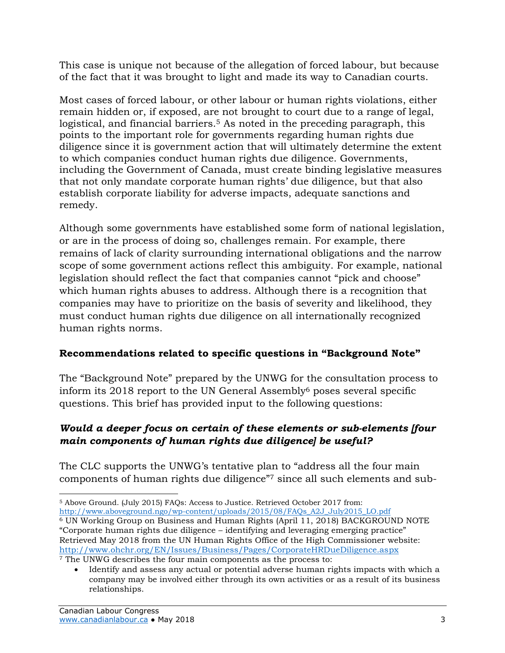This case is unique not because of the allegation of forced labour, but because of the fact that it was brought to light and made its way to Canadian courts.

Most cases of forced labour, or other labour or human rights violations, either remain hidden or, if exposed, are not brought to court due to a range of legal, logistical, and financial barriers.<sup>5</sup> As noted in the preceding paragraph, this points to the important role for governments regarding human rights due diligence since it is government action that will ultimately determine the extent to which companies conduct human rights due diligence. Governments, including the Government of Canada, must create binding legislative measures that not only mandate corporate human rights' due diligence, but that also establish corporate liability for adverse impacts, adequate sanctions and remedy.

Although some governments have established some form of national legislation, or are in the process of doing so, challenges remain. For example, there remains of lack of clarity surrounding international obligations and the narrow scope of some government actions reflect this ambiguity. For example, national legislation should reflect the fact that companies cannot "pick and choose" which human rights abuses to address. Although there is a recognition that companies may have to prioritize on the basis of severity and likelihood, they must conduct human rights due diligence on all internationally recognized human rights norms.

#### **Recommendations related to specific questions in "Background Note"**

The "Background Note" prepared by the UNWG for the consultation process to inform its 2018 report to the UN General Assembly<sup>6</sup> poses several specific questions. This brief has provided input to the following questions:

#### *Would a deeper focus on certain of these elements or sub-elements [four main components of human rights due diligence] be useful?*

The CLC supports the UNWG's tentative plan to "address all the four main components of human rights due diligence"<sup>7</sup> since all such elements and sub-

 $\overline{a}$ <sup>5</sup> Above Ground. (July 2015) FAQs: Access to Justice. Retrieved October 2017 from: [http://www.aboveground.ngo/wp-content/uploads/2015/08/FAQs\\_A2J\\_July2015\\_LO.pdf](http://www.aboveground.ngo/wp-content/uploads/2015/08/FAQs_A2J_July2015_LO.pdf) <sup>6</sup> UN Working Group on Business and Human Rights (April 11, 2018) BACKGROUND NOTE "Corporate human rights due diligence – identifying and leveraging emerging practice" Retrieved May 2018 from the UN Human Rights Office of the High Commissioner website: <http://www.ohchr.org/EN/Issues/Business/Pages/CorporateHRDueDiligence.aspx> <sup>7</sup> The UNWG describes the four main components as the process to:

Identify and assess any actual or potential adverse human rights impacts with which a company may be involved either through its own activities or as a result of its business relationships.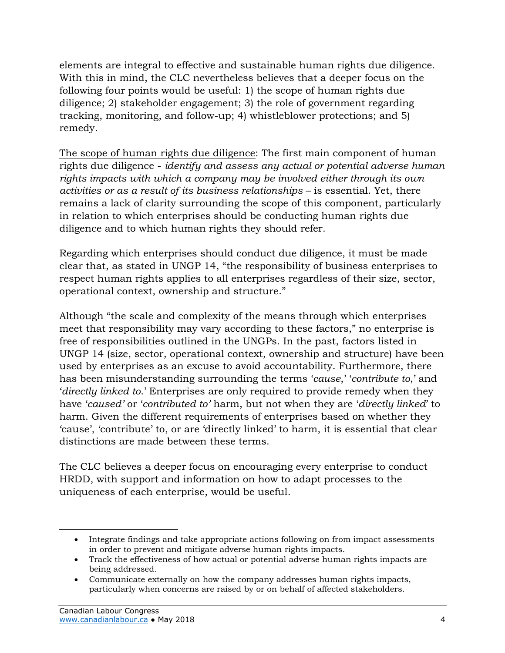elements are integral to effective and sustainable human rights due diligence. With this in mind, the CLC nevertheless believes that a deeper focus on the following four points would be useful: 1) the scope of human rights due diligence; 2) stakeholder engagement; 3) the role of government regarding tracking, monitoring, and follow-up; 4) whistleblower protections; and 5) remedy.

The scope of human rights due diligence: The first main component of human rights due diligence - *identify and assess any actual or potential adverse human rights impacts with which a company may be involved either through its own activities or as a result of its business relationships* – is essential. Yet, there remains a lack of clarity surrounding the scope of this component, particularly in relation to which enterprises should be conducting human rights due diligence and to which human rights they should refer.

Regarding which enterprises should conduct due diligence, it must be made clear that, as stated in UNGP 14, "the responsibility of business enterprises to respect human rights applies to all enterprises regardless of their size, sector, operational context, ownership and structure."

Although "the scale and complexity of the means through which enterprises meet that responsibility may vary according to these factors," no enterprise is free of responsibilities outlined in the UNGPs. In the past, factors listed in UNGP 14 (size, sector, operational context, ownership and structure) have been used by enterprises as an excuse to avoid accountability. Furthermore, there has been misunderstanding surrounding the terms '*cause*,' '*contribute to*,' and '*directly linked to*.' Enterprises are only required to provide remedy when they have '*caused'* or '*contributed to'* harm, but not when they are '*directly linked*' to harm. Given the different requirements of enterprises based on whether they 'cause', 'contribute' to, or are 'directly linked' to harm, it is essential that clear distinctions are made between these terms.

The CLC believes a deeper focus on encouraging every enterprise to conduct HRDD, with support and information on how to adapt processes to the uniqueness of each enterprise, would be useful.

Integrate findings and take appropriate actions following on from impact assessments in order to prevent and mitigate adverse human rights impacts.

Track the effectiveness of how actual or potential adverse human rights impacts are being addressed.

Communicate externally on how the company addresses human rights impacts, particularly when concerns are raised by or on behalf of affected stakeholders.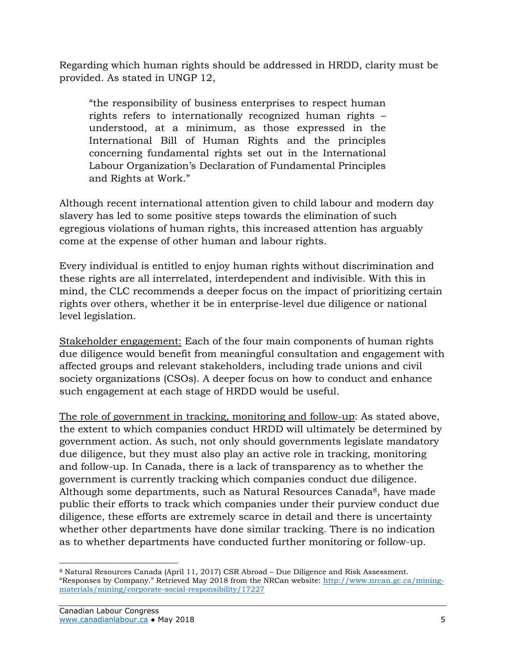Regarding which human rights should be addressed in HRDD, clarity must be provided. As stated in UNGP 12,

"the responsibility of business enterprises to respect human rights refers to internationally recognized human rights – understood, at a minimum, as those expressed in the International Bill of Human Rights and the principles concerning fundamental rights set out in the International Labour Organization's Declaration of Fundamental Principles and Rights at Work."

Although recent international attention given to child labour and modern day slavery has led to some positive steps towards the elimination of such egregious violations of human rights, this increased attention has arguably come at the expense of other human and labour rights.

Every individual is entitled to enjoy human rights without discrimination and these rights are all interrelated, interdependent and indivisible. With this in mind, the CLC recommends a deeper focus on the impact of prioritizing certain rights over others, whether it be in enterprise-level due diligence or national level legislation.

Stakeholder engagement: Each of the four main components of human rights due diligence would benefit from meaningful consultation and engagement with affected groups and relevant stakeholders, including trade unions and civil society organizations (CSOs). A deeper focus on how to conduct and enhance such engagement at each stage of HRDD would be useful.

The role of government in tracking, monitoring and follow-up: As stated above, the extent to which companies conduct HRDD will ultimately be determined by government action. As such, not only should governments legislate mandatory due diligence, but they must also play an active role in tracking, monitoring and follow-up. In Canada, there is a lack of transparency as to whether the government is currently tracking which companies conduct due diligence. Although some departments, such as Natural Resources Canada<sup>8</sup>, have made public their efforts to track which companies under their purview conduct due diligence, these efforts are extremely scarce in detail and there is uncertainty whether other departments have done similar tracking. There is no indication as to whether departments have conducted further monitoring or follow-up.

 $\overline{a}$ <sup>8</sup> Natural Resources Canada (April 11, 2017) CSR Abroad – Due Diligence and Risk Assessment. "Responses by Company." Retrieved May 2018 from the NRCan website: [http://www.nrcan.gc.ca/mining](http://www.nrcan.gc.ca/mining-materials/mining/corporate-social-responsibility/17227)[materials/mining/corporate-social-responsibility/17227](http://www.nrcan.gc.ca/mining-materials/mining/corporate-social-responsibility/17227)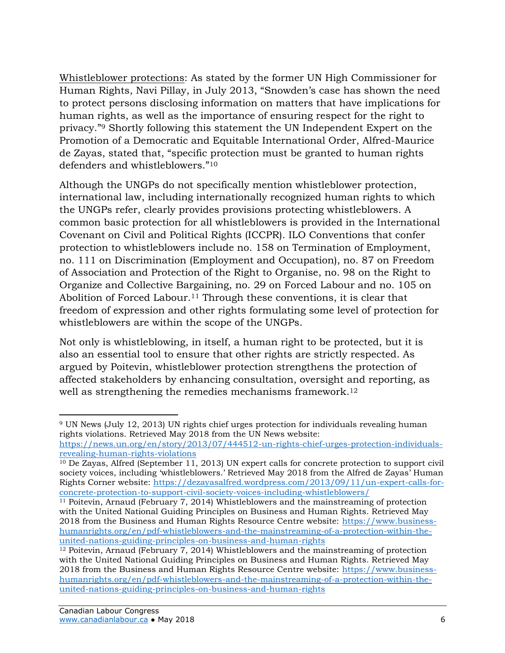Whistleblower protections: As stated by the former UN High Commissioner for Human Rights, Navi Pillay, in July 2013, "Snowden's case has shown the need to protect persons disclosing information on matters that have implications for human rights, as well as the importance of ensuring respect for the right to privacy."<sup>9</sup> Shortly following this statement the UN Independent Expert on the Promotion of a Democratic and Equitable International Order, Alfred-Maurice de Zayas, stated that, "specific protection must be granted to human rights defenders and whistleblowers."<sup>10</sup>

Although the UNGPs do not specifically mention whistleblower protection, international law, including internationally recognized human rights to which the UNGPs refer, clearly provides provisions protecting whistleblowers. A common basic protection for all whistleblowers is provided in the International Covenant on Civil and Political Rights (ICCPR). ILO Conventions that confer protection to whistleblowers include no. 158 on Termination of Employment, no. 111 on Discrimination (Employment and Occupation), no. 87 on Freedom of Association and Protection of the Right to Organise, no. 98 on the Right to Organize and Collective Bargaining, no. 29 on Forced Labour and no. 105 on Abolition of Forced Labour.<sup>11</sup> Through these conventions, it is clear that freedom of expression and other rights formulating some level of protection for whistleblowers are within the scope of the UNGPs.

Not only is whistleblowing, in itself, a human right to be protected, but it is also an essential tool to ensure that other rights are strictly respected. As argued by Poitevin, whistleblower protection strengthens the protection of affected stakeholders by enhancing consultation, oversight and reporting, as well as strengthening the remedies mechanisms framework.<sup>12</sup>

 $\overline{a}$ <sup>9</sup> UN News (July 12, 2013) UN rights chief urges protection for individuals revealing human rights violations. Retrieved May 2018 from the UN News website:

[https://news.un.org/en/story/2013/07/444512-un-rights-chief-urges-protection-individuals](https://news.un.org/en/story/2013/07/444512-un-rights-chief-urges-protection-individuals-revealing-human-rights-violations)[revealing-human-rights-violations](https://news.un.org/en/story/2013/07/444512-un-rights-chief-urges-protection-individuals-revealing-human-rights-violations)

<sup>10</sup> De Zayas, Alfred (September 11, 2013) UN expert calls for concrete protection to support civil society voices, including 'whistleblowers.' Retrieved May 2018 from the Alfred de Zayas' Human Rights Corner website: [https://dezayasalfred.wordpress.com/2013/09/11/un-expert-calls-for](https://dezayasalfred.wordpress.com/2013/09/11/un-expert-calls-for-concrete-protection-to-support-civil-society-voices-including-whistleblowers/)[concrete-protection-to-support-civil-society-voices-including-whistleblowers/](https://dezayasalfred.wordpress.com/2013/09/11/un-expert-calls-for-concrete-protection-to-support-civil-society-voices-including-whistleblowers/)

<sup>11</sup> Poitevin, Arnaud (February 7, 2014) Whistleblowers and the mainstreaming of protection with the United National Guiding Principles on Business and Human Rights. Retrieved May 2018 from the Business and Human Rights Resource Centre website: [https://www.business](https://www.business-humanrights.org/en/pdf-whistleblowers-and-the-mainstreaming-of-a-protection-within-the-united-nations-guiding-principles-on-business-and-human-rights)[humanrights.org/en/pdf-whistleblowers-and-the-mainstreaming-of-a-protection-within-the](https://www.business-humanrights.org/en/pdf-whistleblowers-and-the-mainstreaming-of-a-protection-within-the-united-nations-guiding-principles-on-business-and-human-rights)[united-nations-guiding-principles-on-business-and-human-rights](https://www.business-humanrights.org/en/pdf-whistleblowers-and-the-mainstreaming-of-a-protection-within-the-united-nations-guiding-principles-on-business-and-human-rights)

<sup>12</sup> Poitevin, Arnaud (February 7, 2014) Whistleblowers and the mainstreaming of protection with the United National Guiding Principles on Business and Human Rights. Retrieved May 2018 from the Business and Human Rights Resource Centre website: [https://www.business](https://www.business-humanrights.org/en/pdf-whistleblowers-and-the-mainstreaming-of-a-protection-within-the-united-nations-guiding-principles-on-business-and-human-rights)[humanrights.org/en/pdf-whistleblowers-and-the-mainstreaming-of-a-protection-within-the](https://www.business-humanrights.org/en/pdf-whistleblowers-and-the-mainstreaming-of-a-protection-within-the-united-nations-guiding-principles-on-business-and-human-rights)[united-nations-guiding-principles-on-business-and-human-rights](https://www.business-humanrights.org/en/pdf-whistleblowers-and-the-mainstreaming-of-a-protection-within-the-united-nations-guiding-principles-on-business-and-human-rights)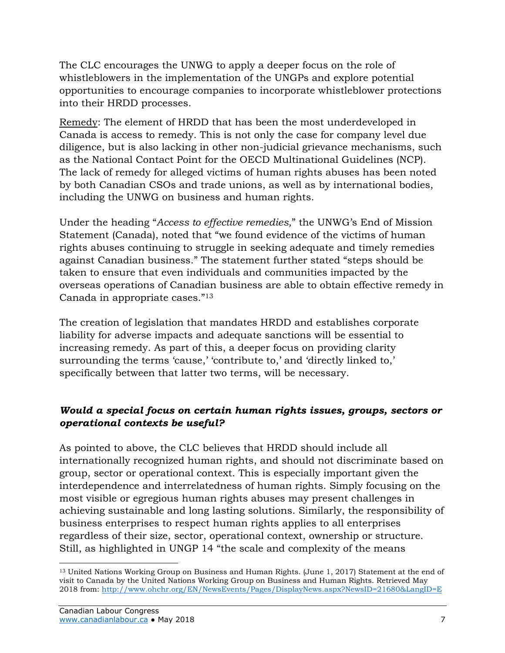The CLC encourages the UNWG to apply a deeper focus on the role of whistleblowers in the implementation of the UNGPs and explore potential opportunities to encourage companies to incorporate whistleblower protections into their HRDD processes.

Remedy: The element of HRDD that has been the most underdeveloped in Canada is access to remedy. This is not only the case for company level due diligence, but is also lacking in other non-judicial grievance mechanisms, such as the National Contact Point for the OECD Multinational Guidelines (NCP). The lack of remedy for alleged victims of human rights abuses has been noted by both Canadian CSOs and trade unions, as well as by international bodies, including the UNWG on business and human rights.

Under the heading "*Access to effective remedies,*" the UNWG's End of Mission Statement (Canada), noted that "we found evidence of the victims of human rights abuses continuing to struggle in seeking adequate and timely remedies against Canadian business." The statement further stated "steps should be taken to ensure that even individuals and communities impacted by the overseas operations of Canadian business are able to obtain effective remedy in Canada in appropriate cases."<sup>13</sup>

The creation of legislation that mandates HRDD and establishes corporate liability for adverse impacts and adequate sanctions will be essential to increasing remedy. As part of this, a deeper focus on providing clarity surrounding the terms 'cause,' 'contribute to,' and 'directly linked to,' specifically between that latter two terms, will be necessary.

#### *Would a special focus on certain human rights issues, groups, sectors or operational contexts be useful?*

As pointed to above, the CLC believes that HRDD should include all internationally recognized human rights, and should not discriminate based on group, sector or operational context. This is especially important given the interdependence and interrelatedness of human rights. Simply focusing on the most visible or egregious human rights abuses may present challenges in achieving sustainable and long lasting solutions. Similarly, the responsibility of business enterprises to respect human rights applies to all enterprises regardless of their size, sector, operational context, ownership or structure. Still, as highlighted in UNGP 14 "the scale and complexity of the means

<sup>13</sup> United Nations Working Group on Business and Human Rights. (June 1, 2017) Statement at the end of visit to Canada by the United Nations Working Group on Business and Human Rights. Retrieved May 2018 from:<http://www.ohchr.org/EN/NewsEvents/Pages/DisplayNews.aspx?NewsID=21680&LangID=E>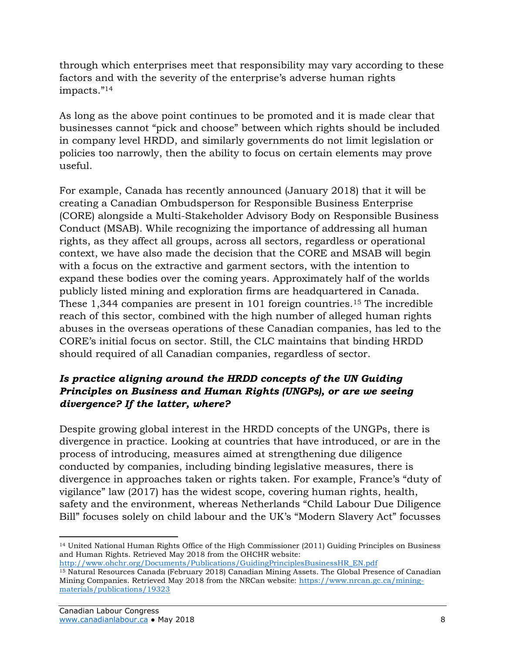through which enterprises meet that responsibility may vary according to these factors and with the severity of the enterprise's adverse human rights impacts."<sup>14</sup>

As long as the above point continues to be promoted and it is made clear that businesses cannot "pick and choose" between which rights should be included in company level HRDD, and similarly governments do not limit legislation or policies too narrowly, then the ability to focus on certain elements may prove useful.

For example, Canada has recently announced (January 2018) that it will be creating a Canadian Ombudsperson for Responsible Business Enterprise (CORE) alongside a Multi-Stakeholder Advisory Body on Responsible Business Conduct (MSAB). While recognizing the importance of addressing all human rights, as they affect all groups, across all sectors, regardless or operational context, we have also made the decision that the CORE and MSAB will begin with a focus on the extractive and garment sectors, with the intention to expand these bodies over the coming years. Approximately half of the worlds publicly listed mining and exploration firms are headquartered in Canada. These 1,344 companies are present in 101 foreign countries.<sup>15</sup> The incredible reach of this sector, combined with the high number of alleged human rights abuses in the overseas operations of these Canadian companies, has led to the CORE's initial focus on sector. Still, the CLC maintains that binding HRDD should required of all Canadian companies, regardless of sector.

#### *Is practice aligning around the HRDD concepts of the UN Guiding Principles on Business and Human Rights (UNGPs), or are we seeing divergence? If the latter, where?*

Despite growing global interest in the HRDD concepts of the UNGPs, there is divergence in practice. Looking at countries that have introduced, or are in the process of introducing, measures aimed at strengthening due diligence conducted by companies, including binding legislative measures, there is divergence in approaches taken or rights taken. For example, France's "duty of vigilance" law (2017) has the widest scope, covering human rights, health, safety and the environment, whereas Netherlands "Child Labour Due Diligence Bill" focuses solely on child labour and the UK's "Modern Slavery Act" focusses

<sup>14</sup> United National Human Rights Office of the High Commissioner (2011) Guiding Principles on Business and Human Rights. Retrieved May 2018 from the OHCHR website: [http://www.ohchr.org/Documents/Publications/GuidingPrinciplesBusinessHR\\_EN.pdf](http://www.ohchr.org/Documents/Publications/GuidingPrinciplesBusinessHR_EN.pdf)

<sup>&</sup>lt;sup>15</sup> Natural Resources Canada (February 2018) Canadian Mining Assets. The Global Presence of Canadian Mining Companies. Retrieved May 2018 from the NRCan website: [https://www.nrcan.gc.ca/mining](https://www.nrcan.gc.ca/mining-materials/publications/19323)[materials/publications/19323](https://www.nrcan.gc.ca/mining-materials/publications/19323)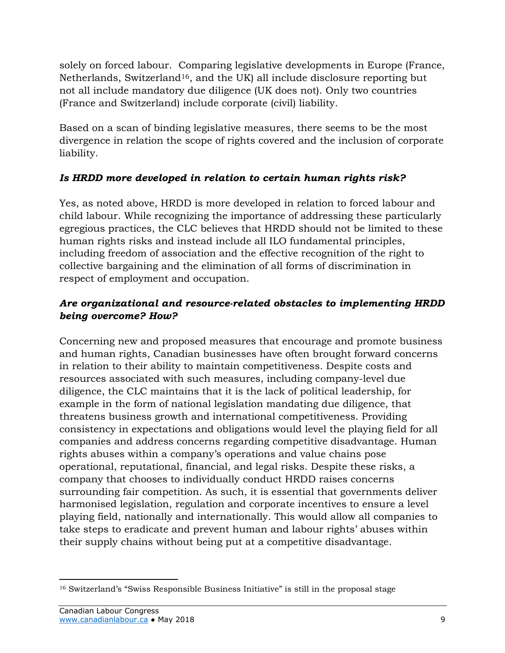solely on forced labour. Comparing legislative developments in Europe (France, Netherlands, Switzerland<sup>16</sup>, and the UK) all include disclosure reporting but not all include mandatory due diligence (UK does not). Only two countries (France and Switzerland) include corporate (civil) liability.

Based on a scan of binding legislative measures, there seems to be the most divergence in relation the scope of rights covered and the inclusion of corporate liability.

#### *Is HRDD more developed in relation to certain human rights risk?*

Yes, as noted above, HRDD is more developed in relation to forced labour and child labour. While recognizing the importance of addressing these particularly egregious practices, the CLC believes that HRDD should not be limited to these human rights risks and instead include all ILO fundamental principles, including freedom of association and the effective recognition of the right to collective bargaining and the elimination of all forms of discrimination in respect of employment and occupation.

#### *Are organizational and resource-related obstacles to implementing HRDD being overcome? How?*

Concerning new and proposed measures that encourage and promote business and human rights, Canadian businesses have often brought forward concerns in relation to their ability to maintain competitiveness. Despite costs and resources associated with such measures, including company-level due diligence, the CLC maintains that it is the lack of political leadership, for example in the form of national legislation mandating due diligence, that threatens business growth and international competitiveness. Providing consistency in expectations and obligations would level the playing field for all companies and address concerns regarding competitive disadvantage. Human rights abuses within a company's operations and value chains pose operational, reputational, financial, and legal risks. Despite these risks, a company that chooses to individually conduct HRDD raises concerns surrounding fair competition. As such, it is essential that governments deliver harmonised legislation, regulation and corporate incentives to ensure a level playing field, nationally and internationally. This would allow all companies to take steps to eradicate and prevent human and labour rights' abuses within their supply chains without being put at a competitive disadvantage.

 $\overline{a}$ <sup>16</sup> Switzerland's "Swiss Responsible Business Initiative" is still in the proposal stage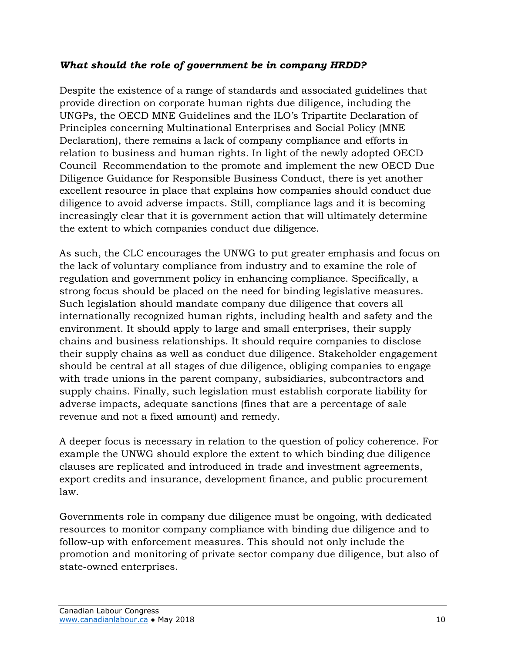#### *What should the role of government be in company HRDD?*

Despite the existence of a range of standards and associated guidelines that provide direction on corporate human rights due diligence, including the UNGPs, the OECD MNE Guidelines and the ILO's Tripartite Declaration of Principles concerning Multinational Enterprises and Social Policy (MNE Declaration), there remains a lack of company compliance and efforts in relation to business and human rights. In light of the newly adopted OECD Council Recommendation to the promote and implement the new OECD Due Diligence Guidance for Responsible Business Conduct, there is yet another excellent resource in place that explains how companies should conduct due diligence to avoid adverse impacts. Still, compliance lags and it is becoming increasingly clear that it is government action that will ultimately determine the extent to which companies conduct due diligence.

As such, the CLC encourages the UNWG to put greater emphasis and focus on the lack of voluntary compliance from industry and to examine the role of regulation and government policy in enhancing compliance. Specifically, a strong focus should be placed on the need for binding legislative measures. Such legislation should mandate company due diligence that covers all internationally recognized human rights, including health and safety and the environment. It should apply to large and small enterprises, their supply chains and business relationships. It should require companies to disclose their supply chains as well as conduct due diligence. Stakeholder engagement should be central at all stages of due diligence, obliging companies to engage with trade unions in the parent company, subsidiaries, subcontractors and supply chains. Finally, such legislation must establish corporate liability for adverse impacts, adequate sanctions (fines that are a percentage of sale revenue and not a fixed amount) and remedy.

A deeper focus is necessary in relation to the question of policy coherence. For example the UNWG should explore the extent to which binding due diligence clauses are replicated and introduced in trade and investment agreements, export credits and insurance, development finance, and public procurement law.

Governments role in company due diligence must be ongoing, with dedicated resources to monitor company compliance with binding due diligence and to follow-up with enforcement measures. This should not only include the promotion and monitoring of private sector company due diligence, but also of state-owned enterprises.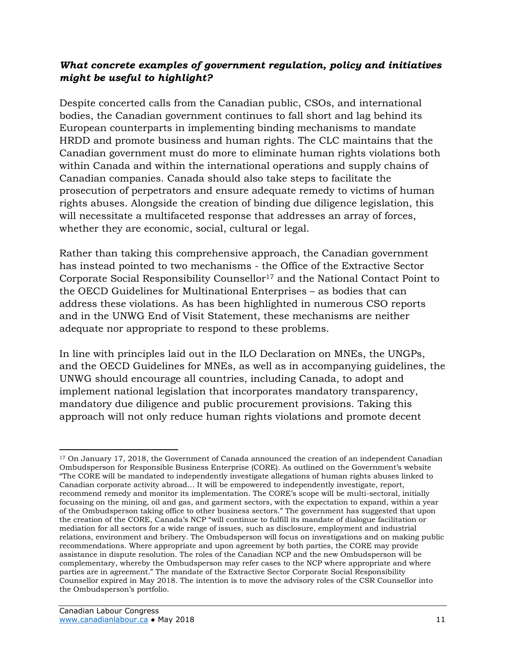#### *What concrete examples of government regulation, policy and initiatives might be useful to highlight?*

Despite concerted calls from the Canadian public, CSOs, and international bodies, the Canadian government continues to fall short and lag behind its European counterparts in implementing binding mechanisms to mandate HRDD and promote business and human rights. The CLC maintains that the Canadian government must do more to eliminate human rights violations both within Canada and within the international operations and supply chains of Canadian companies. Canada should also take steps to facilitate the prosecution of perpetrators and ensure adequate remedy to victims of human rights abuses. Alongside the creation of binding due diligence legislation, this will necessitate a multifaceted response that addresses an array of forces, whether they are economic, social, cultural or legal.

Rather than taking this comprehensive approach, the Canadian government has instead pointed to two mechanisms - the Office of the Extractive Sector Corporate Social Responsibility Counsellor<sup>17</sup> and the National Contact Point to the OECD Guidelines for Multinational Enterprises – as bodies that can address these violations. As has been highlighted in numerous CSO reports and in the UNWG End of Visit Statement, these mechanisms are neither adequate nor appropriate to respond to these problems.

In line with principles laid out in the ILO Declaration on MNEs, the UNGPs, and the OECD Guidelines for MNEs, as well as in accompanying guidelines, the UNWG should encourage all countries, including Canada, to adopt and implement national legislation that incorporates mandatory transparency, mandatory due diligence and public procurement provisions. Taking this approach will not only reduce human rights violations and promote decent

 $\overline{a}$ <sup>17</sup> On January 17, 2018, the Government of Canada announced the creation of an independent Canadian Ombudsperson for Responsible Business Enterprise (CORE). As outlined on the Government's website "The CORE will be mandated to independently investigate allegations of human rights abuses linked to Canadian corporate activity abroad… It will be empowered to independently investigate, report, recommend remedy and monitor its implementation. The CORE's scope will be multi-sectoral, initially focussing on the mining, oil and gas, and garment sectors, with the expectation to expand, within a year of the Ombudsperson taking office to other business sectors." The government has suggested that upon the creation of the CORE, Canada's NCP "will continue to fulfill its mandate of dialogue facilitation or mediation for all sectors for a wide range of issues, such as disclosure, employment and industrial relations, environment and bribery. The Ombudsperson will focus on investigations and on making public recommendations. Where appropriate and upon agreement by both parties, the CORE may provide assistance in dispute resolution. The roles of the Canadian NCP and the new Ombudsperson will be complementary, whereby the Ombudsperson may refer cases to the NCP where appropriate and where parties are in agreement." The mandate of the Extractive Sector Corporate Social Responsibility Counsellor expired in May 2018. The intention is to move the advisory roles of the CSR Counsellor into the Ombudsperson's portfolio.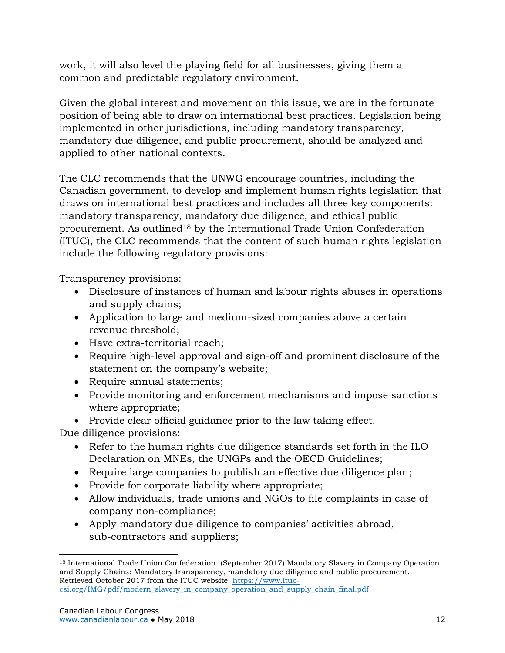work, it will also level the playing field for all businesses, giving them a common and predictable regulatory environment.

Given the global interest and movement on this issue, we are in the fortunate position of being able to draw on international best practices. Legislation being implemented in other jurisdictions, including mandatory transparency, mandatory due diligence, and public procurement, should be analyzed and applied to other national contexts.

The CLC recommends that the UNWG encourage countries, including the Canadian government, to develop and implement human rights legislation that draws on international best practices and includes all three key components: mandatory transparency, mandatory due diligence, and ethical public procurement. As outlined<sup>18</sup> by the International Trade Union Confederation (ITUC), the CLC recommends that the content of such human rights legislation include the following regulatory provisions:

Transparency provisions:

- Disclosure of instances of human and labour rights abuses in operations and supply chains;
- Application to large and medium-sized companies above a certain revenue threshold;
- Have extra-territorial reach;
- Require high-level approval and sign-off and prominent disclosure of the statement on the company's website;
- Require annual statements;
- Provide monitoring and enforcement mechanisms and impose sanctions where appropriate;
- Provide clear official guidance prior to the law taking effect.

Due diligence provisions:

- Refer to the human rights due diligence standards set forth in the ILO Declaration on MNEs, the UNGPs and the OECD Guidelines;
- Require large companies to publish an effective due diligence plan;
- Provide for corporate liability where appropriate;
- Allow individuals, trade unions and NGOs to file complaints in case of company non-compliance;
- Apply mandatory due diligence to companies' activities abroad, sub-contractors and suppliers;

 $\overline{a}$ <sup>18</sup> International Trade Union Confederation. (September 2017) Mandatory Slavery in Company Operation and Supply Chains: Mandatory transparency, mandatory due diligence and public procurement. Retrieved October 2017 from the ITUC website: [https://www.ituc](https://www.ituc-csi.org/IMG/pdf/modern_slavery_in_company_operation_and_supply_chain_final.pdf)[csi.org/IMG/pdf/modern\\_slavery\\_in\\_company\\_operation\\_and\\_supply\\_chain\\_final.pdf](https://www.ituc-csi.org/IMG/pdf/modern_slavery_in_company_operation_and_supply_chain_final.pdf)